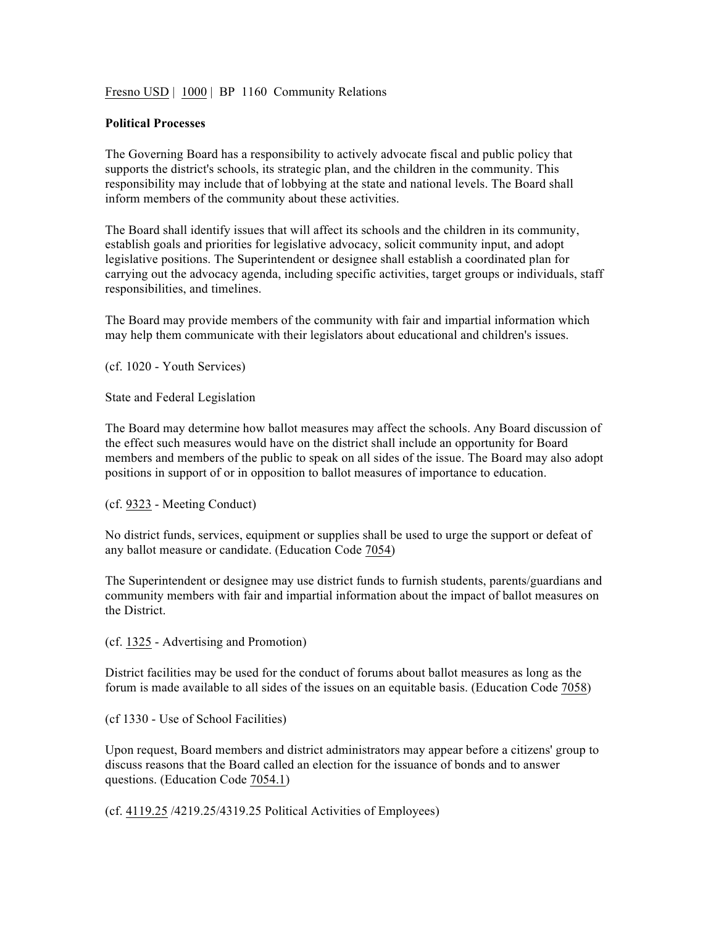Fresno USD | 1000 | BP 1160 Community Relations

## **Political Processes**

The Governing Board has a responsibility to actively advocate fiscal and public policy that supports the district's schools, its strategic plan, and the children in the community. This responsibility may include that of lobbying at the state and national levels. The Board shall inform members of the community about these activities.

The Board shall identify issues that will affect its schools and the children in its community, establish goals and priorities for legislative advocacy, solicit community input, and adopt legislative positions. The Superintendent or designee shall establish a coordinated plan for carrying out the advocacy agenda, including specific activities, target groups or individuals, staff responsibilities, and timelines.

The Board may provide members of the community with fair and impartial information which may help them communicate with their legislators about educational and children's issues.

(cf. 1020 - Youth Services)

State and Federal Legislation

The Board may determine how ballot measures may affect the schools. Any Board discussion of the effect such measures would have on the district shall include an opportunity for Board members and members of the public to speak on all sides of the issue. The Board may also adopt positions in support of or in opposition to ballot measures of importance to education.

(cf. 9323 - Meeting Conduct)

No district funds, services, equipment or supplies shall be used to urge the support or defeat of any ballot measure or candidate. (Education Code 7054)

The Superintendent or designee may use district funds to furnish students, parents/guardians and community members with fair and impartial information about the impact of ballot measures on the District.

(cf. 1325 - Advertising and Promotion)

District facilities may be used for the conduct of forums about ballot measures as long as the forum is made available to all sides of the issues on an equitable basis. (Education Code 7058)

(cf 1330 - Use of School Facilities)

Upon request, Board members and district administrators may appear before a citizens' group to discuss reasons that the Board called an election for the issuance of bonds and to answer questions. (Education Code 7054.1)

(cf. 4119.25 /4219.25/4319.25 Political Activities of Employees)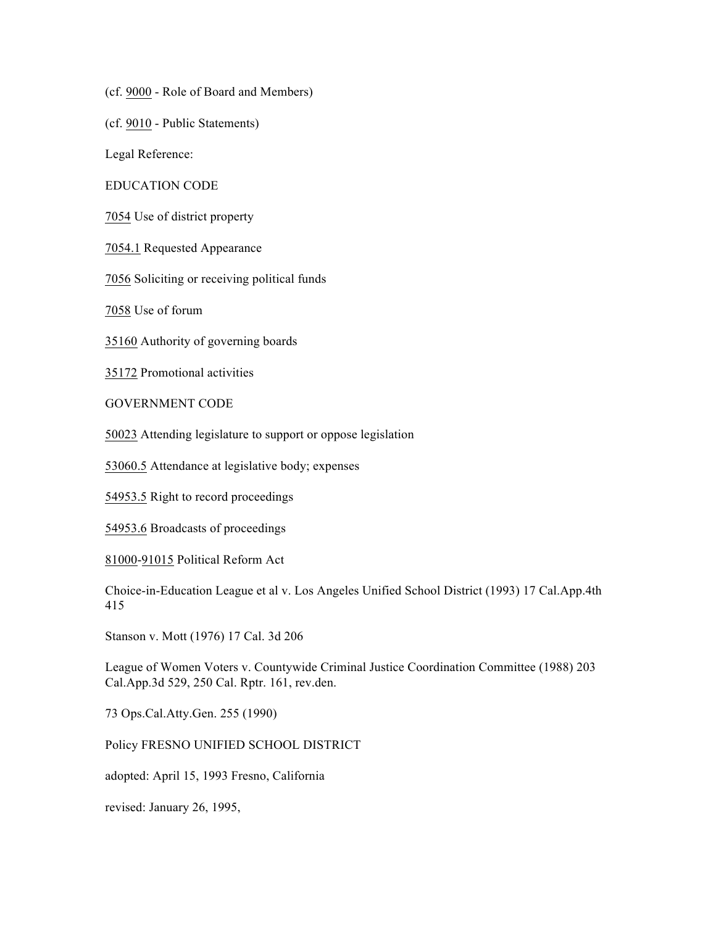(cf. 9000 - Role of Board and Members)

(cf. 9010 - Public Statements)

Legal Reference:

EDUCATION CODE

7054 Use of district property

7054.1 Requested Appearance

7056 Soliciting or receiving political funds

7058 Use of forum

35160 Authority of governing boards

35172 Promotional activities

GOVERNMENT CODE

50023 Attending legislature to support or oppose legislation

53060.5 Attendance at legislative body; expenses

54953.5 Right to record proceedings

54953.6 Broadcasts of proceedings

81000-91015 Political Reform Act

Choice-in-Education League et al v. Los Angeles Unified School District (1993) 17 Cal.App.4th 415

Stanson v. Mott (1976) 17 Cal. 3d 206

League of Women Voters v. Countywide Criminal Justice Coordination Committee (1988) 203 Cal.App.3d 529, 250 Cal. Rptr. 161, rev.den.

73 Ops.Cal.Atty.Gen. 255 (1990)

Policy FRESNO UNIFIED SCHOOL DISTRICT

adopted: April 15, 1993 Fresno, California

revised: January 26, 1995,